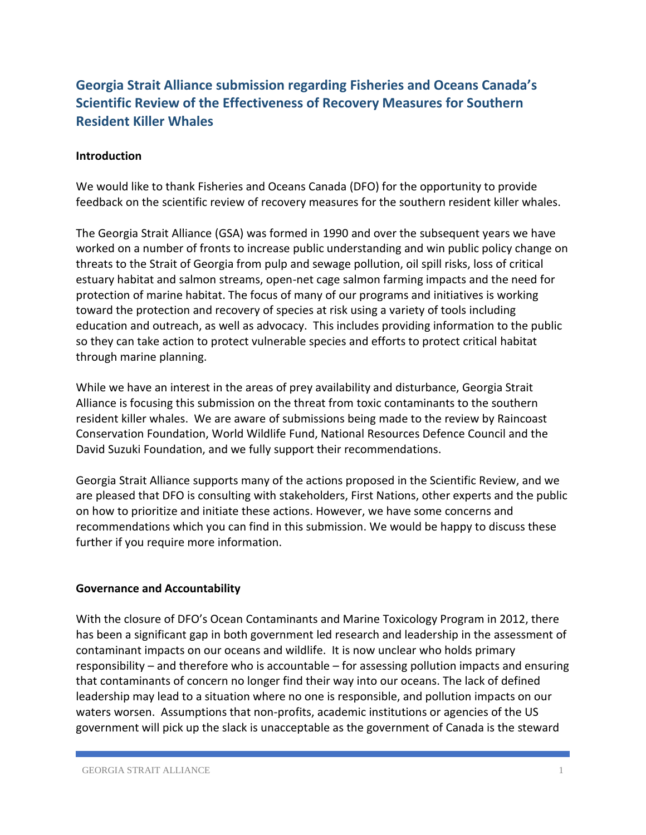# **Georgia Strait Alliance submission regarding Fisheries and Oceans Canada's Scientific Review of the Effectiveness of Recovery Measures for Southern Resident Killer Whales**

# **Introduction**

We would like to thank Fisheries and Oceans Canada (DFO) for the opportunity to provide feedback on the scientific review of recovery measures for the southern resident killer whales.

The Georgia Strait Alliance (GSA) was formed in 1990 and over the subsequent years we have worked on a number of fronts to increase public understanding and win public policy change on threats to the Strait of Georgia from pulp and sewage pollution, oil spill risks, loss of critical estuary habitat and salmon streams, open-net cage salmon farming impacts and the need for protection of marine habitat. The focus of many of our programs and initiatives is working toward the protection and recovery of species at risk using a variety of tools including education and outreach, as well as advocacy. This includes providing information to the public so they can take action to protect vulnerable species and efforts to protect critical habitat through marine planning.

While we have an interest in the areas of prey availability and disturbance, Georgia Strait Alliance is focusing this submission on the threat from toxic contaminants to the southern resident killer whales. We are aware of submissions being made to the review by Raincoast Conservation Foundation, World Wildlife Fund, National Resources Defence Council and the David Suzuki Foundation, and we fully support their recommendations.

Georgia Strait Alliance supports many of the actions proposed in the Scientific Review, and we are pleased that DFO is consulting with stakeholders, First Nations, other experts and the public on how to prioritize and initiate these actions. However, we have some concerns and recommendations which you can find in this submission. We would be happy to discuss these further if you require more information.

#### **Governance and Accountability**

With the closure of DFO's Ocean Contaminants and Marine Toxicology Program in 2012, there has been a significant gap in both government led research and leadership in the assessment of contaminant impacts on our oceans and wildlife. It is now unclear who holds primary responsibility – and therefore who is accountable – for assessing pollution impacts and ensuring that contaminants of concern no longer find their way into our oceans. The lack of defined leadership may lead to a situation where no one is responsible, and pollution impacts on our waters worsen. Assumptions that non-profits, academic institutions or agencies of the US government will pick up the slack is unacceptable as the government of Canada is the steward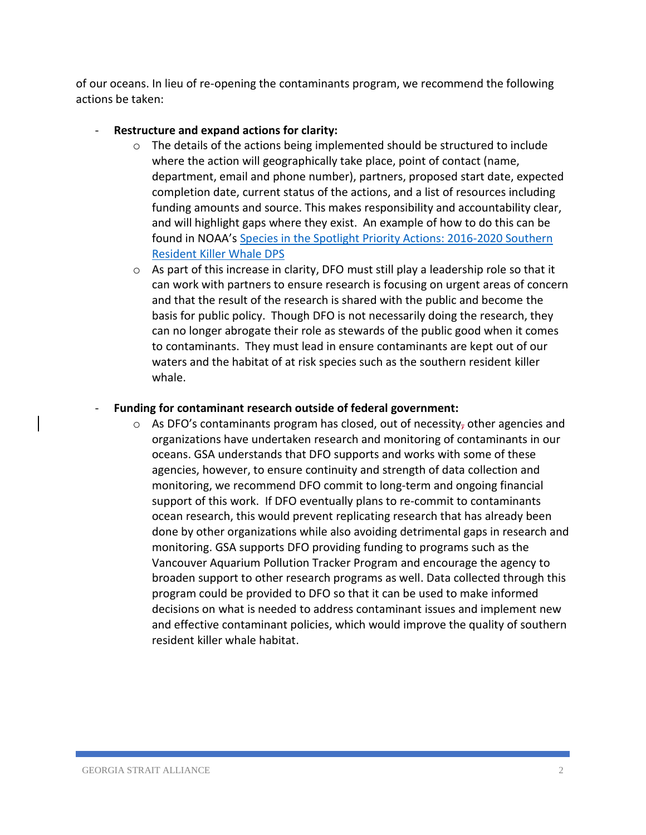of our oceans. In lieu of re-opening the contaminants program, we recommend the following actions be taken:

# Restructure and expand actions for clarity:

- $\circ$  The details of the actions being implemented should be structured to include where the action will geographically take place, point of contact (name, department, email and phone number), partners, proposed start date, expected completion date, current status of the actions, and a list of resources including funding amounts and source. This makes responsibility and accountability clear, and will highlight gaps where they exist. An example of how to do this can be found in NOAA's [Species in the Spotlight Priority Actions: 2016-2020 Southern](http://www.nmfs.noaa.gov/stories/2016/02/docs/southern_resident_killer_whale_spotlight_species_5_year_action_plan_final_web.pdf)  [Resident Killer Whale DPS](http://www.nmfs.noaa.gov/stories/2016/02/docs/southern_resident_killer_whale_spotlight_species_5_year_action_plan_final_web.pdf)
- $\circ$  As part of this increase in clarity, DFO must still play a leadership role so that it can work with partners to ensure research is focusing on urgent areas of concern and that the result of the research is shared with the public and become the basis for public policy. Though DFO is not necessarily doing the research, they can no longer abrogate their role as stewards of the public good when it comes to contaminants. They must lead in ensure contaminants are kept out of our waters and the habitat of at risk species such as the southern resident killer whale.

# - **Funding for contaminant research outside of federal government:**

 $\circ$  As DFO's contaminants program has closed, out of necessity, other agencies and organizations have undertaken research and monitoring of contaminants in our oceans. GSA understands that DFO supports and works with some of these agencies, however, to ensure continuity and strength of data collection and monitoring, we recommend DFO commit to long-term and ongoing financial support of this work. If DFO eventually plans to re-commit to contaminants ocean research, this would prevent replicating research that has already been done by other organizations while also avoiding detrimental gaps in research and monitoring. GSA supports DFO providing funding to programs such as the Vancouver Aquarium Pollution Tracker Program and encourage the agency to broaden support to other research programs as well. Data collected through this program could be provided to DFO so that it can be used to make informed decisions on what is needed to address contaminant issues and implement new and effective contaminant policies, which would improve the quality of southern resident killer whale habitat.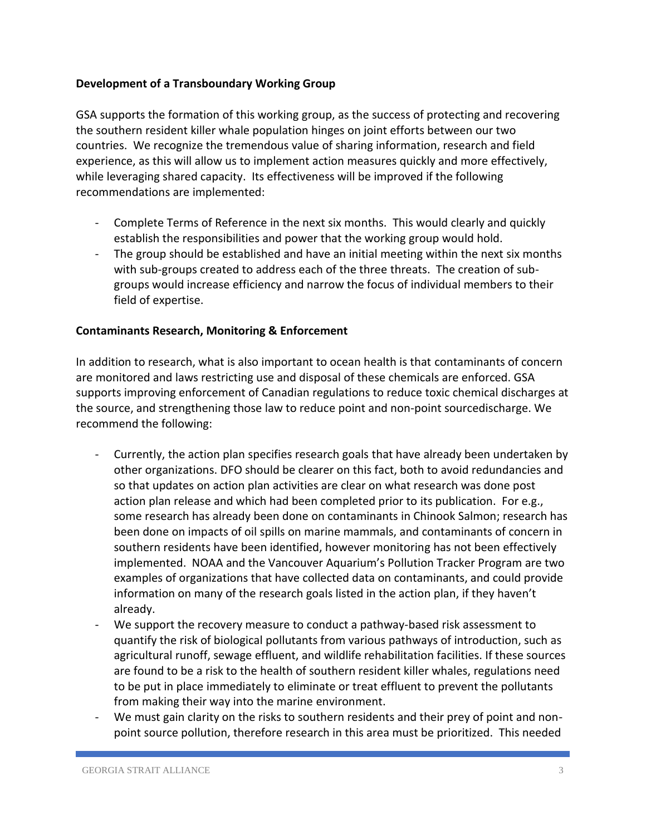# **Development of a Transboundary Working Group**

GSA supports the formation of this working group, as the success of protecting and recovering the southern resident killer whale population hinges on joint efforts between our two countries. We recognize the tremendous value of sharing information, research and field experience, as this will allow us to implement action measures quickly and more effectively, while leveraging shared capacity. Its effectiveness will be improved if the following recommendations are implemented:

- Complete Terms of Reference in the next six months. This would clearly and quickly establish the responsibilities and power that the working group would hold.
- The group should be established and have an initial meeting within the next six months with sub-groups created to address each of the three threats. The creation of subgroups would increase efficiency and narrow the focus of individual members to their field of expertise.

# **Contaminants Research, Monitoring & Enforcement**

In addition to research, what is also important to ocean health is that contaminants of concern are monitored and laws restricting use and disposal of these chemicals are enforced. GSA supports improving enforcement of Canadian regulations to reduce toxic chemical discharges at the source, and strengthening those law to reduce point and non-point sourcedischarge. We recommend the following:

- Currently, the action plan specifies research goals that have already been undertaken by other organizations. DFO should be clearer on this fact, both to avoid redundancies and so that updates on action plan activities are clear on what research was done post action plan release and which had been completed prior to its publication. For e.g., some research has already been done on contaminants in Chinook Salmon; research has been done on impacts of oil spills on marine mammals, and contaminants of concern in southern residents have been identified, however monitoring has not been effectively implemented. NOAA and the Vancouver Aquarium's Pollution Tracker Program are two examples of organizations that have collected data on contaminants, and could provide information on many of the research goals listed in the action plan, if they haven't already.
- We support the recovery measure to conduct a pathway-based risk assessment to quantify the risk of biological pollutants from various pathways of introduction, such as agricultural runoff, sewage effluent, and wildlife rehabilitation facilities. If these sources are found to be a risk to the health of southern resident killer whales, regulations need to be put in place immediately to eliminate or treat effluent to prevent the pollutants from making their way into the marine environment.
- We must gain clarity on the risks to southern residents and their prey of point and nonpoint source pollution, therefore research in this area must be prioritized. This needed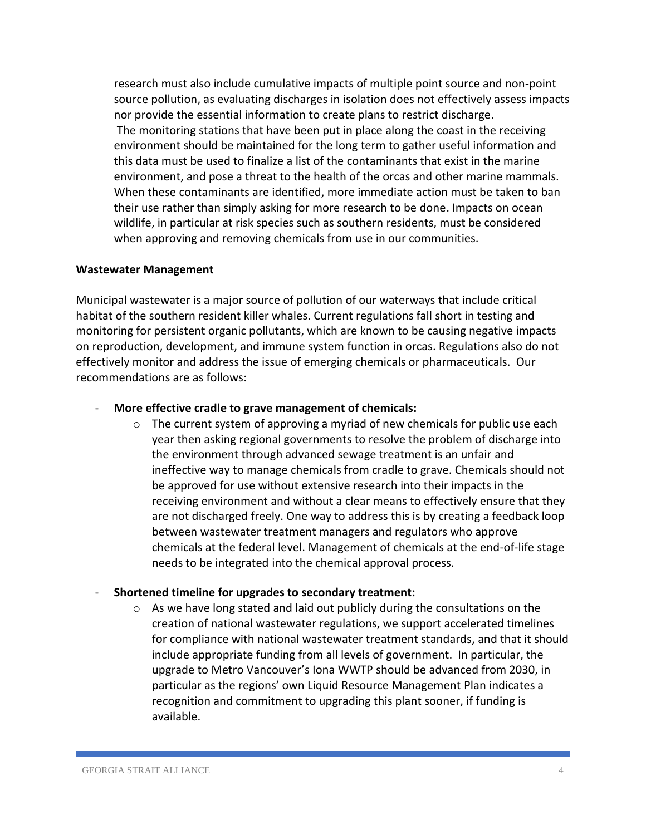research must also include cumulative impacts of multiple point source and non-point source pollution, as evaluating discharges in isolation does not effectively assess impacts nor provide the essential information to create plans to restrict discharge. The monitoring stations that have been put in place along the coast in the receiving environment should be maintained for the long term to gather useful information and this data must be used to finalize a list of the contaminants that exist in the marine environment, and pose a threat to the health of the orcas and other marine mammals. When these contaminants are identified, more immediate action must be taken to ban their use rather than simply asking for more research to be done. Impacts on ocean wildlife, in particular at risk species such as southern residents, must be considered when approving and removing chemicals from use in our communities.

#### **Wastewater Management**

Municipal wastewater is a major source of pollution of our waterways that include critical habitat of the southern resident killer whales. Current regulations fall short in testing and monitoring for persistent organic pollutants, which are known to be causing negative impacts on reproduction, development, and immune system function in orcas. Regulations also do not effectively monitor and address the issue of emerging chemicals or pharmaceuticals. Our recommendations are as follows:

#### - **More effective cradle to grave management of chemicals:**

 $\circ$  The current system of approving a myriad of new chemicals for public use each year then asking regional governments to resolve the problem of discharge into the environment through advanced sewage treatment is an unfair and ineffective way to manage chemicals from cradle to grave. Chemicals should not be approved for use without extensive research into their impacts in the receiving environment and without a clear means to effectively ensure that they are not discharged freely. One way to address this is by creating a feedback loop between wastewater treatment managers and regulators who approve chemicals at the federal level. Management of chemicals at the end-of-life stage needs to be integrated into the chemical approval process.

#### - **Shortened timeline for upgrades to secondary treatment:**

o As we have long stated and laid out publicly during the consultations on the creation of national wastewater regulations, we support accelerated timelines for compliance with national wastewater treatment standards, and that it should include appropriate funding from all levels of government. In particular, the upgrade to Metro Vancouver's Iona WWTP should be advanced from 2030, in particular as the regions' own Liquid Resource Management Plan indicates a recognition and commitment to upgrading this plant sooner, if funding is available.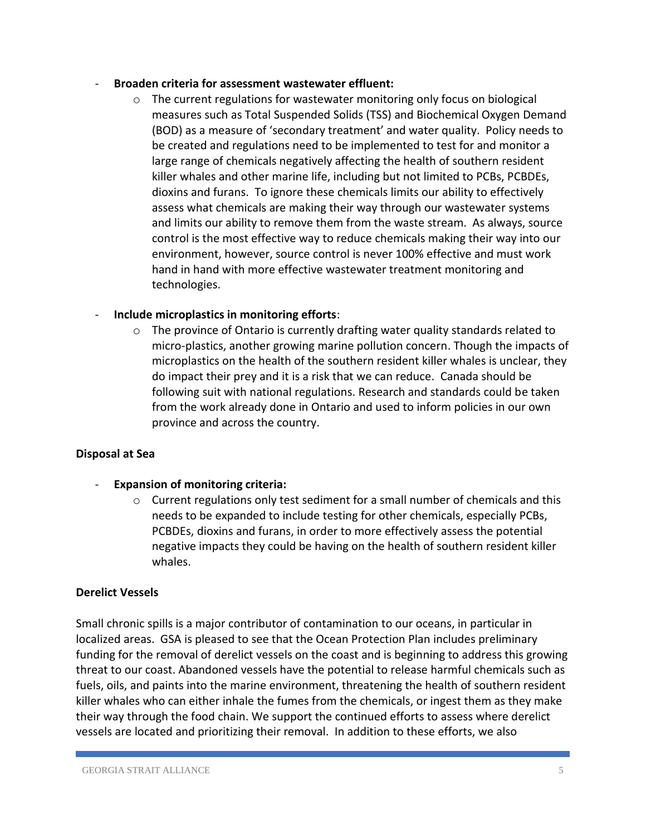#### - **Broaden criteria for assessment wastewater effluent:**

 $\circ$  The current regulations for wastewater monitoring only focus on biological measures such as Total Suspended Solids (TSS) and Biochemical Oxygen Demand (BOD) as a measure of 'secondary treatment' and water quality. Policy needs to be created and regulations need to be implemented to test for and monitor a large range of chemicals negatively affecting the health of southern resident killer whales and other marine life, including but not limited to PCBs, PCBDEs, dioxins and furans. To ignore these chemicals limits our ability to effectively assess what chemicals are making their way through our wastewater systems and limits our ability to remove them from the waste stream. As always, source control is the most effective way to reduce chemicals making their way into our environment, however, source control is never 100% effective and must work hand in hand with more effective wastewater treatment monitoring and technologies.

# - **Include microplastics in monitoring efforts**:

o The province of Ontario is currently drafting water quality standards related to micro-plastics, another growing marine pollution concern. Though the impacts of microplastics on the health of the southern resident killer whales is unclear, they do impact their prey and it is a risk that we can reduce. Canada should be following suit with national regulations. Research and standards could be taken from the work already done in Ontario and used to inform policies in our own province and across the country.

# **Disposal at Sea**

- **Expansion of monitoring criteria:**
	- $\circ$  Current regulations only test sediment for a small number of chemicals and this needs to be expanded to include testing for other chemicals, especially PCBs, PCBDEs, dioxins and furans, in order to more effectively assess the potential negative impacts they could be having on the health of southern resident killer whales.

#### **Derelict Vessels**

Small chronic spills is a major contributor of contamination to our oceans, in particular in localized areas. GSA is pleased to see that the Ocean Protection Plan includes preliminary funding for the removal of derelict vessels on the coast and is beginning to address this growing threat to our coast. Abandoned vessels have the potential to release harmful chemicals such as fuels, oils, and paints into the marine environment, threatening the health of southern resident killer whales who can either inhale the fumes from the chemicals, or ingest them as they make their way through the food chain. We support the continued efforts to assess where derelict vessels are located and prioritizing their removal. In addition to these efforts, we also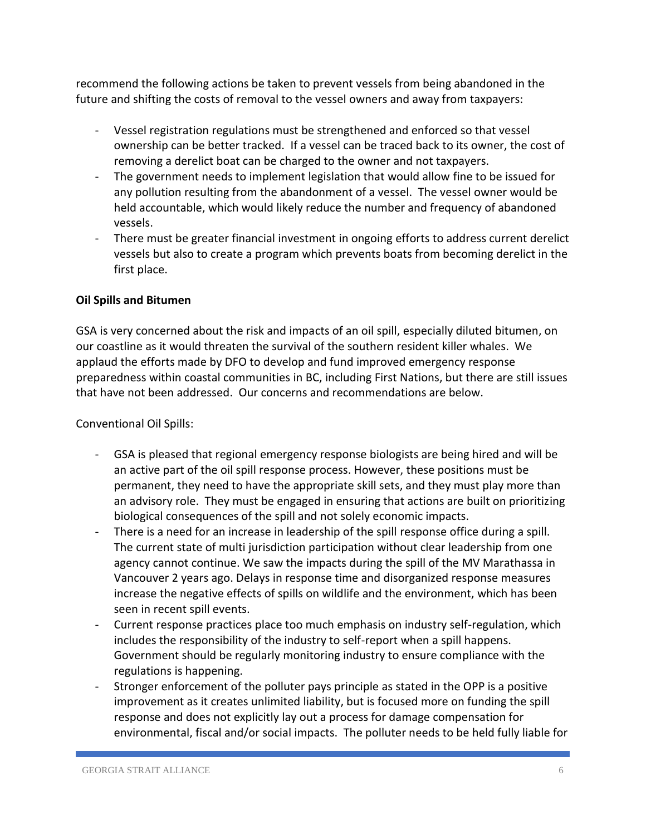recommend the following actions be taken to prevent vessels from being abandoned in the future and shifting the costs of removal to the vessel owners and away from taxpayers:

- Vessel registration regulations must be strengthened and enforced so that vessel ownership can be better tracked. If a vessel can be traced back to its owner, the cost of removing a derelict boat can be charged to the owner and not taxpayers.
- The government needs to implement legislation that would allow fine to be issued for any pollution resulting from the abandonment of a vessel. The vessel owner would be held accountable, which would likely reduce the number and frequency of abandoned vessels.
- There must be greater financial investment in ongoing efforts to address current derelict vessels but also to create a program which prevents boats from becoming derelict in the first place.

# **Oil Spills and Bitumen**

GSA is very concerned about the risk and impacts of an oil spill, especially diluted bitumen, on our coastline as it would threaten the survival of the southern resident killer whales. We applaud the efforts made by DFO to develop and fund improved emergency response preparedness within coastal communities in BC, including First Nations, but there are still issues that have not been addressed. Our concerns and recommendations are below.

Conventional Oil Spills:

- GSA is pleased that regional emergency response biologists are being hired and will be an active part of the oil spill response process. However, these positions must be permanent, they need to have the appropriate skill sets, and they must play more than an advisory role. They must be engaged in ensuring that actions are built on prioritizing biological consequences of the spill and not solely economic impacts.
- There is a need for an increase in leadership of the spill response office during a spill. The current state of multi jurisdiction participation without clear leadership from one agency cannot continue. We saw the impacts during the spill of the MV Marathassa in Vancouver 2 years ago. Delays in response time and disorganized response measures increase the negative effects of spills on wildlife and the environment, which has been seen in recent spill events.
- Current response practices place too much emphasis on industry self-regulation, which includes the responsibility of the industry to self-report when a spill happens. Government should be regularly monitoring industry to ensure compliance with the regulations is happening.
- Stronger enforcement of the polluter pays principle as stated in the OPP is a positive improvement as it creates unlimited liability, but is focused more on funding the spill response and does not explicitly lay out a process for damage compensation for environmental, fiscal and/or social impacts. The polluter needs to be held fully liable for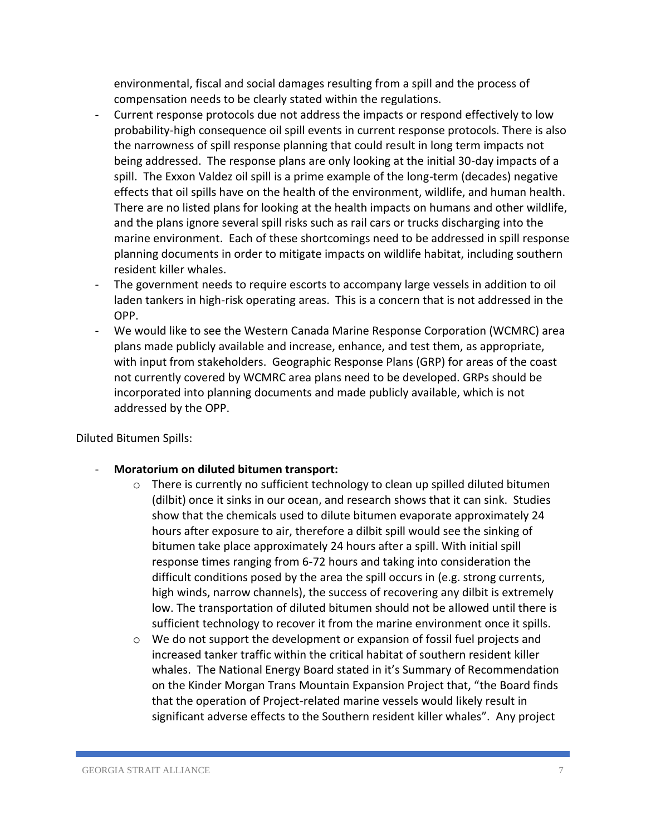environmental, fiscal and social damages resulting from a spill and the process of compensation needs to be clearly stated within the regulations.

- Current response protocols due not address the impacts or respond effectively to low probability-high consequence oil spill events in current response protocols. There is also the narrowness of spill response planning that could result in long term impacts not being addressed. The response plans are only looking at the initial 30-day impacts of a spill. The Exxon Valdez oil spill is a prime example of the long-term (decades) negative effects that oil spills have on the health of the environment, wildlife, and human health. There are no listed plans for looking at the health impacts on humans and other wildlife, and the plans ignore several spill risks such as rail cars or trucks discharging into the marine environment. Each of these shortcomings need to be addressed in spill response planning documents in order to mitigate impacts on wildlife habitat, including southern resident killer whales.
- The government needs to require escorts to accompany large vessels in addition to oil laden tankers in high-risk operating areas. This is a concern that is not addressed in the OPP.
- We would like to see the Western Canada Marine Response Corporation (WCMRC) area plans made publicly available and increase, enhance, and test them, as appropriate, with input from stakeholders. Geographic Response Plans (GRP) for areas of the coast not currently covered by WCMRC area plans need to be developed. GRPs should be incorporated into planning documents and made publicly available, which is not addressed by the OPP.

Diluted Bitumen Spills:

- **Moratorium on diluted bitumen transport:**
	- $\circ$  There is currently no sufficient technology to clean up spilled diluted bitumen (dilbit) once it sinks in our ocean, and research shows that it can sink. Studies show that the chemicals used to dilute bitumen evaporate approximately 24 hours after exposure to air, therefore a dilbit spill would see the sinking of bitumen take place approximately 24 hours after a spill. With initial spill response times ranging from 6-72 hours and taking into consideration the difficult conditions posed by the area the spill occurs in (e.g. strong currents, high winds, narrow channels), the success of recovering any dilbit is extremely low. The transportation of diluted bitumen should not be allowed until there is sufficient technology to recover it from the marine environment once it spills.
	- $\circ$  We do not support the development or expansion of fossil fuel projects and increased tanker traffic within the critical habitat of southern resident killer whales. The National Energy Board stated in it's Summary of Recommendation on the Kinder Morgan Trans Mountain Expansion Project that, "the Board finds that the operation of Project-related marine vessels would likely result in significant adverse effects to the Southern resident killer whales". Any project